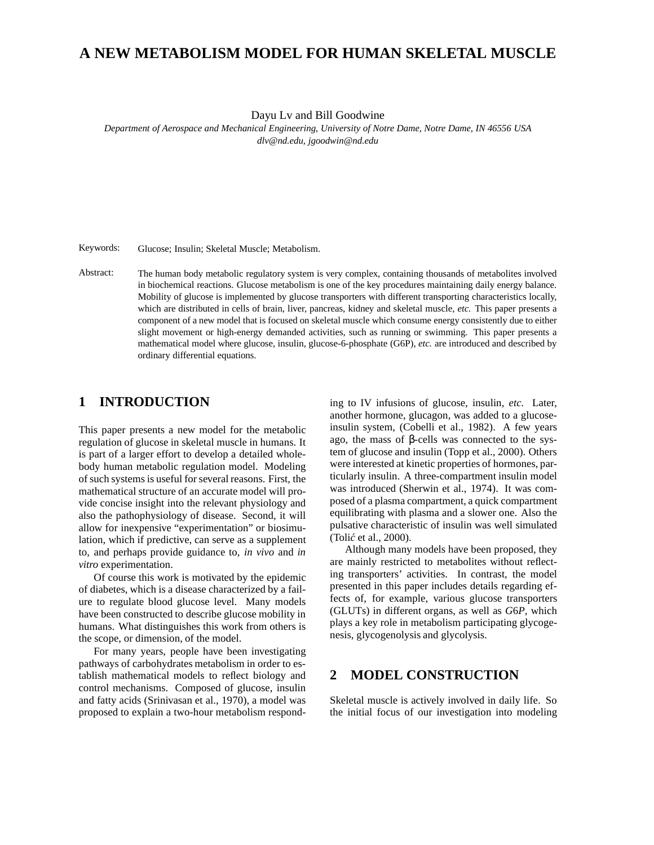# **A NEW METABOLISM MODEL FOR HUMAN SKELETAL MUSCLE**

Dayu Lv and Bill Goodwine

*Department of Aerospace and Mechanical Engineering, University of Notre Dame, Notre Dame, IN 46556 USA dlv@nd.edu, jgoodwin@nd.edu*

Keywords: Glucose; Insulin; Skeletal Muscle; Metabolism.

Abstract: The human body metabolic regulatory system is very complex, containing thousands of metabolites involved in biochemical reactions. Glucose metabolism is one of the key procedures maintaining daily energy balance. Mobility of glucose is implemented by glucose transporters with different transporting characteristics locally, which are distributed in cells of brain, liver, pancreas, kidney and skeletal muscle, *etc.* This paper presents a component of a new model that is focused on skeletal muscle which consume energy consistently due to either slight movement or high-energy demanded activities, such as running or swimming. This paper presents a mathematical model where glucose, insulin, glucose-6-phosphate (G6P), *etc.* are introduced and described by ordinary differential equations.

### **1 INTRODUCTION**

This paper presents a new model for the metabolic regulation of glucose in skeletal muscle in humans. It is part of a larger effort to develop a detailed wholebody human metabolic regulation model. Modeling of such systems is useful for several reasons. First, the mathematical structure of an accurate model will provide concise insight into the relevant physiology and also the pathophysiology of disease. Second, it will allow for inexpensive "experimentation" or biosimulation, which if predictive, can serve as a supplement to, and perhaps provide guidance to, *in vivo* and *in vitro* experimentation.

Of course this work is motivated by the epidemic of diabetes, which is a disease characterized by a failure to regulate blood glucose level. Many models have been constructed to describe glucose mobility in humans. What distinguishes this work from others is the scope, or dimension, of the model.

For many years, people have been investigating pathways of carbohydrates metabolism in order to establish mathematical models to reflect biology and control mechanisms. Composed of glucose, insulin and fatty acids (Srinivasan et al., 1970), a model was proposed to explain a two-hour metabolism responding to IV infusions of glucose, insulin, *etc.* Later, another hormone, glucagon, was added to a glucoseinsulin system, (Cobelli et al., 1982). A few years ago, the mass of β-cells was connected to the system of glucose and insulin (Topp et al., 2000). Others were interested at kinetic properties of hormones, particularly insulin. A three-compartment insulin model was introduced (Sherwin et al., 1974). It was composed of a plasma compartment, a quick compartment equilibrating with plasma and a slower one. Also the pulsative characteristic of insulin was well simulated (Tolić et al., 2000).

Although many models have been proposed, they are mainly restricted to metabolites without reflecting transporters' activities. In contrast, the model presented in this paper includes details regarding effects of, for example, various glucose transporters (GLUTs) in different organs, as well as *G*6*P*, which plays a key role in metabolism participating glycogenesis, glycogenolysis and glycolysis.

### **2 MODEL CONSTRUCTION**

Skeletal muscle is actively involved in daily life. So the initial focus of our investigation into modeling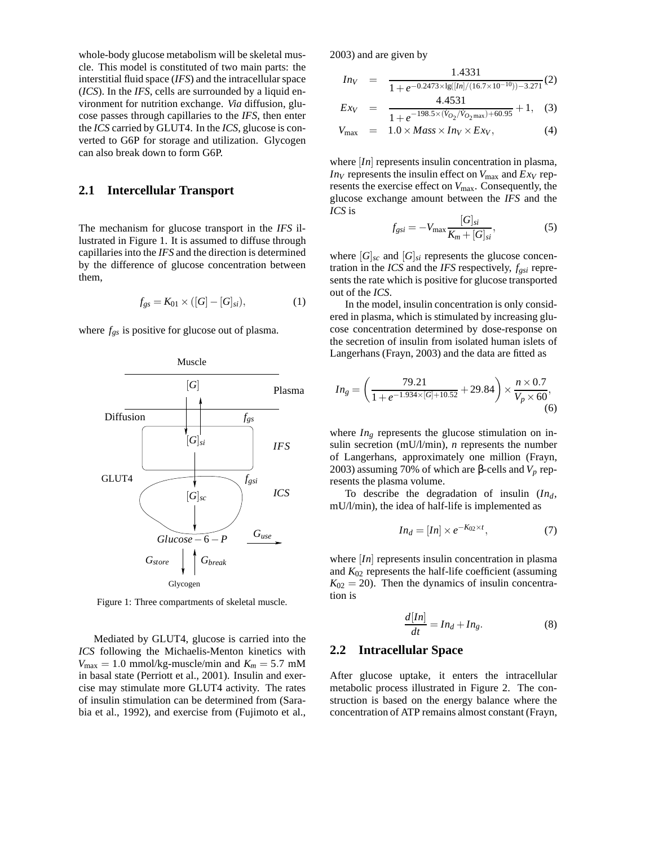whole-body glucose metabolism will be skeletal muscle. This model is constituted of two main parts: the interstitial fluid space (*IFS*) and the intracellular space (*ICS*). In the *IFS*, cells are surrounded by a liquid environment for nutrition exchange. *Via* diffusion, glucose passes through capillaries to the *IFS*, then enter the *ICS* carried by GLUT4. In the *ICS*, glucose is converted to G6P for storage and utilization. Glycogen can also break down to form G6P.

### **2.1 Intercellular Transport**

The mechanism for glucose transport in the *IFS* illustrated in Figure 1. It is assumed to diffuse through capillaries into the *IFS* and the direction is determined by the difference of glucose concentration between them,

$$
f_{gs} = K_{01} \times ([G] - [G]_{si}), \tag{1}
$$

where *fgs* is positive for glucose out of plasma.



Figure 1: Three compartments of skeletal muscle.

Mediated by GLUT4, glucose is carried into the *ICS* following the Michaelis-Menton kinetics with  $V_{\text{max}} = 1.0 \text{ mmol/kg-muscle/min}$  and  $K_m = 5.7 \text{ mM}$ in basal state (Perriott et al., 2001). Insulin and exercise may stimulate more GLUT4 activity. The rates of insulin stimulation can be determined from (Sarabia et al., 1992), and exercise from (Fujimoto et al.,

2003) and are given by

*Inv* = 
$$
\frac{1.4331}{1 + e^{-0.2473 \times \lg([In]/(16.7 \times 10^{-10})) - 3.271}}(2)
$$

 $1.331$ 

$$
E x_V = \frac{1.1551}{1 + e^{-198.5 \times (V_{O_2}/V_{O_2 \text{max}}) + 60.95}} + 1, \quad (3)
$$

$$
V_{\text{max}} = 1.0 \times Mass \times Inv \times Ex_V, \tag{4}
$$

where *[In]* represents insulin concentration in plasma, *In<sub>V</sub>* represents the insulin effect on  $V_{\text{max}}$  and  $Exy$  represents the exercise effect on *V*max. Consequently, the glucose exchange amount between the *IFS* and the *ICS* is

$$
f_{gsi} = -V_{\text{max}} \frac{[G]_{si}}{K_m + [G]_{si}},
$$
 (5)

where  $[G]_{\text{sc}}$  and  $[G]_{\text{si}}$  represents the glucose concentration in the *ICS* and the *IFS* respectively, *fgsi* represents the rate which is positive for glucose transported out of the *ICS*.

In the model, insulin concentration is only considered in plasma, which is stimulated by increasing glucose concentration determined by dose-response on the secretion of insulin from isolated human islets of Langerhans (Frayn, 2003) and the data are fitted as

$$
In_{g} = \left(\frac{79.21}{1 + e^{-1.934 \times [G] + 10.52}} + 29.84\right) \times \frac{n \times 0.7}{V_{p} \times 60},\tag{6}
$$

where  $In<sub>g</sub>$  represents the glucose stimulation on insulin secretion (mU/l/min), *n* represents the number of Langerhans, approximately one million (Frayn, 2003) assuming 70% of which are β-cells and *V<sup>p</sup>* represents the plasma volume.

To describe the degradation of insulin (*Ind*, mU/l/min), the idea of half-life is implemented as

$$
In_d = [In] \times e^{-K_{02} \times t}, \tag{7}
$$

where [*In*] represents insulin concentration in plasma and *K*<sup>02</sup> represents the half-life coefficient (assuming  $K_{02} = 20$ ). Then the dynamics of insulin concentration is

$$
\frac{d[In]}{dt} = In_d + In_g.
$$
 (8)

#### **2.2 Intracellular Space**

After glucose uptake, it enters the intracellular metabolic process illustrated in Figure 2. The construction is based on the energy balance where the concentration of ATP remains almost constant (Frayn,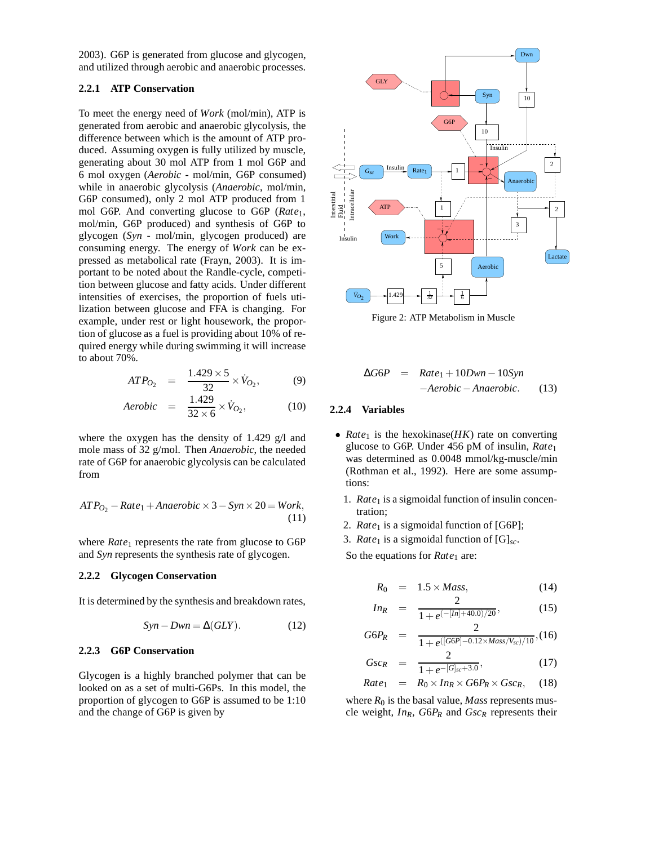2003). G6P is generated from glucose and glycogen, and utilized through aerobic and anaerobic processes.

### **2.2.1 ATP Conservation**

To meet the energy need of *Work* (mol/min), ATP is generated from aerobic and anaerobic glycolysis, the difference between which is the amount of ATP produced. Assuming oxygen is fully utilized by muscle, generating about 30 mol ATP from 1 mol G6P and 6 mol oxygen (*Aerobic* - mol/min, G6P consumed) while in anaerobic glycolysis (*Anaerobic*, mol/min, G6P consumed), only 2 mol ATP produced from 1 mol G6P. And converting glucose to G6P (*Rate*1, mol/min, G6P produced) and synthesis of G6P to glycogen (*Syn* - mol/min, glycogen produced) are consuming energy. The energy of *Work* can be expressed as metabolical rate (Frayn, 2003). It is important to be noted about the Randle-cycle, competition between glucose and fatty acids. Under different intensities of exercises, the proportion of fuels utilization between glucose and FFA is changing. For example, under rest or light housework, the proportion of glucose as a fuel is providing about 10% of required energy while during swimming it will increase to about 70%.

$$
ATP_{O_2} = \frac{1.429 \times 5}{32} \times \dot{V}_{O_2},
$$
 (9)

$$
Aerobic = \frac{1.429}{32 \times 6} \times \dot{V}_{O_2}, \tag{10}
$$

where the oxygen has the density of 1.429 g/l and mole mass of 32 g/mol. Then *Anaerobic*, the needed rate of G6P for anaerobic glycolysis can be calculated from

$$
ATP_{O_2} - Rate_1 + Anaerobic \times 3 - Syn \times 20 = Work,
$$
\n(11)

where *Rate*<sub>1</sub> represents the rate from glucose to G6P and *Syn* represents the synthesis rate of glycogen.

#### **2.2.2 Glycogen Conservation**

It is determined by the synthesis and breakdown rates,

$$
Syn - Dwn = \Delta(GLY). \tag{12}
$$

#### **2.2.3 G6P Conservation**

Glycogen is a highly branched polymer that can be looked on as a set of multi-G6Ps. In this model, the proportion of glycogen to G6P is assumed to be 1:10 and the change of G6P is given by



Figure 2: ATP Metabolism in Muscle

$$
\Delta G6P = Rate_1 + 10Dwn - 10Syn
$$
  
-*Aerobic - Anaerobic.* (13)

#### **2.2.4 Variables**

- $Rate<sub>1</sub>$  is the hexokinase( $HK$ ) rate on converting glucose to G6P. Under 456 pM of insulin, *Rate*<sup>1</sup> was determined as 0.0048 mmol/kg-muscle/min (Rothman et al., 1992). Here are some assumptions:
	- 1. *Rate*<sub>1</sub> is a sigmoidal function of insulin concentration;
	- 2. *Rate*<sub>1</sub> is a sigmoidal function of [G6P];
	- 3. *Rate*<sub>1</sub> is a sigmoidal function of  $[G]_{sc}$ .

So the equations for *Rate*<sub>1</sub> are:

$$
R_0 = 1.5 \times Mass, \qquad (14)
$$

$$
In_R = \frac{2}{1 + e^{(-[In] + 40.0)/20}},\tag{15}
$$

$$
G6P_R = \frac{2}{1 + e^{([G6P] - 0.12 \times Mass/V_{sc})/10}}, (16)
$$

$$
Gsc_R = \frac{2}{1 + e^{-[G]_{sc} + 3.0}},
$$
\n
$$
Rate_1 = R_0 \times In_R \times G6P_R \times Gsc_R,
$$
\n(18)

where  $R_0$  is the basal value, *Mass* represents muscle weight, *InR*, *G*6*P<sup>R</sup>* and *Gsc<sup>R</sup>* represents their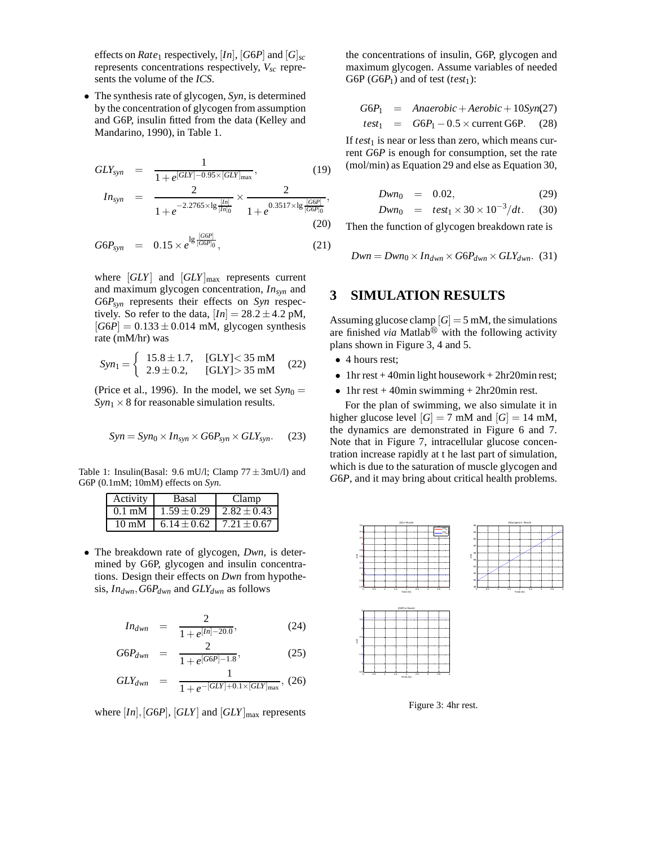effects on *Rate*<sub>1</sub> respectively, [In], [G6P] and  $[G]_{sc}$ represents concentrations respectively, *Vsc* represents the volume of the *ICS*.

• The synthesis rate of glycogen, *Syn*, is determined by the concentration of glycogen from assumption and G6P, insulin fitted from the data (Kelley and Mandarino, 1990), in Table 1.

$$
GLY_{syn} = \frac{1}{1 + e^{[GLY] - 0.95 \times [GLY]_{\text{max}}}},
$$
\n(19)

$$
In_{syn} = \frac{2}{1+e^{-2.2765\times\lg{\frac{[In]}{[In]_0}}}} \times \frac{2}{1+e^{0.3517\times\lg{\frac{[G6P]}{[G6P]_0}}}},
$$
(20)

$$
G6P_{syn} = 0.15 \times e^{\lg \frac{[G6P]}{[G6P]_0}}, \qquad (21)
$$

where  $\left| GLY \right|$  and  $\left| GLY \right|_{\text{max}}$  represents current and maximum glycogen concentration, *Insyn* and *G*6*Psyn* represents their effects on *Syn* respectively. So refer to the data,  $[In] = 28.2 \pm 4.2$  pM,  $|G6P| = 0.133 \pm 0.014$  mM, glycogen synthesis rate (mM/hr) was

$$
Syn_1 = \begin{cases} 15.8 \pm 1.7, & [GLY] < 35 \text{ mM} \\ 2.9 \pm 0.2, & [GLY] > 35 \text{ mM} \end{cases} \tag{22}
$$

(Price et al., 1996). In the model, we set  $Syn_0 =$  $Syn_1 \times 8$  for reasonable simulation results.

$$
Syn = Syn_0 \times In_{syn} \times G6P_{syn} \times GLY_{syn}.
$$
 (23)

Table 1: Insulin(Basal: 9.6 mU/l; Clamp  $77 \pm 3$ mU/l) and G6P (0.1mM; 10mM) effects on *Syn*.

| Activity         | Basal                             | Clamp |
|------------------|-----------------------------------|-------|
| $0.1 \text{ mM}$ | $1.59 \pm 0.29$   2.82 $\pm$ 0.43 |       |
| $10 \text{ mM}$  | $6.14 \pm 0.62$   $7.21 \pm 0.67$ |       |

• The breakdown rate of glycogen, *Dwn*, is determined by G6P, glycogen and insulin concentrations. Design their effects on *Dwn* from hypothesis, *Indwn*,*G*6*Pdwn* and *GLYdwn* as follows

$$
In_{dwn} = \frac{2}{1 + e^{[ln]-20.0}}, \tag{24}
$$

$$
G6P_{dwn} = \frac{2}{1 + e^{[G6P]-1.8}},
$$
 (25)

$$
GLY_{dwn} = \frac{1}{1 + e^{-[GLY] + 0.1 \times [GLY]_{\text{max}}}}, (26)
$$

where  $[In], [G6P], [GLY]$  and  $[GLY]_{\text{max}}$  represents

the concentrations of insulin, G6P, glycogen and maximum glycogen. Assume variables of needed G6P ( $G6P_1$ ) and of test (*test*<sub>1</sub>):

$$
G6P_1 = Anaerobic + Aerobic + 10Syn(27)
$$
  
\n
$$
test_1 = GGP_1 - 0.5 \times current GGP.
$$
 (28)

If  $test_1$  is near or less than zero, which means current *G*6*P* is enough for consumption, set the rate (mol/min) as Equation 29 and else as Equation 30,

$$
Dwn_0 = 0.02, \t(29)
$$

$$
Dwn_0 = test_1 \times 30 \times 10^{-3}/dt. \quad (30)
$$

Then the function of glycogen breakdown rate is

$$
Dwn = Dwn_0 \times In_{dwn} \times G6P_{dwn} \times GLY_{dwn}. (31)
$$

### **3 SIMULATION RESULTS**

Assuming glucose clamp  $|G| = 5$  mM, the simulations are finished *via* Matlab<sup>®</sup> with the following activity plans shown in Figure 3, 4 and 5.

- 4 hours rest;
- 1hr rest + 40min light housework + 2hr20min rest;
- 1hr rest  $+$  40min swimming  $+$  2hr20min rest.

For the plan of swimming, we also simulate it in higher glucose level  $[G] = 7$  mM and  $[G] = 14$  mM, the dynamics are demonstrated in Figure 6 and 7. Note that in Figure 7, intracellular glucose concentration increase rapidly at t he last part of simulation, which is due to the saturation of muscle glycogen and *G*6*P*, and it may bring about critical health problems.



Figure 3: 4hr rest.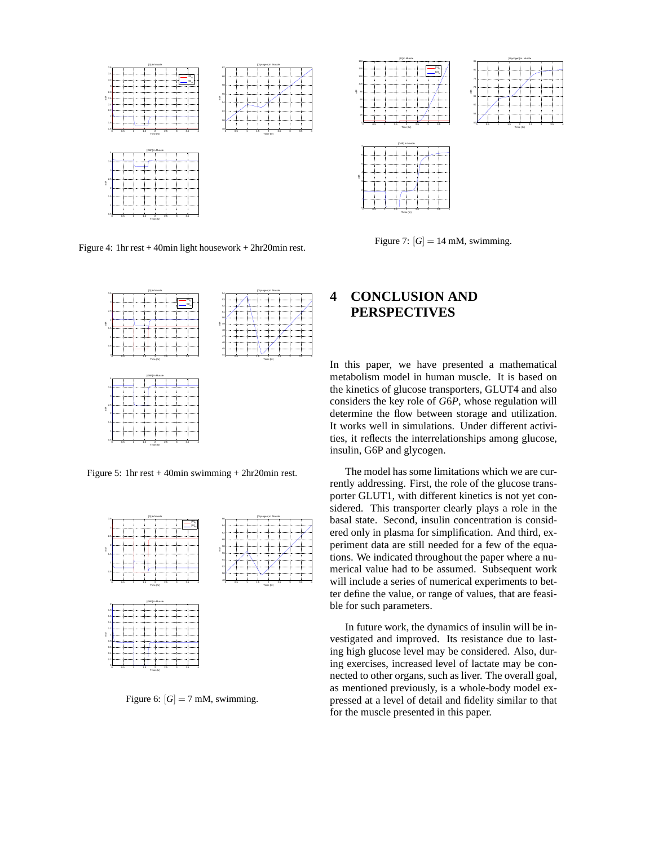

Figure 4: 1hr rest + 40min light housework + 2hr20min rest.



Figure 7:  $[G] = 14$  mM, swimming.



Figure 5: 1hr rest + 40min swimming + 2hr20min rest.



Figure 6:  $[G] = 7$  mM, swimming.

## **4 CONCLUSION AND PERSPECTIVES**

In this paper, we have presented a mathematical metabolism model in human muscle. It is based on the kinetics of glucose transporters, GLUT4 and also considers the key role of *G*6*P*, whose regulation will determine the flow between storage and utilization. It works well in simulations. Under different activities, it reflects the interrelationships among glucose, insulin, G6P and glycogen.

The model has some limitations which we are currently addressing. First, the role of the glucose transporter GLUT1, with different kinetics is not yet considered. This transporter clearly plays a role in the basal state. Second, insulin concentration is considered only in plasma for simplification. And third, experiment data are still needed for a few of the equations. We indicated throughout the paper where a numerical value had to be assumed. Subsequent work will include a series of numerical experiments to better define the value, or range of values, that are feasible for such parameters.

In future work, the dynamics of insulin will be investigated and improved. Its resistance due to lasting high glucose level may be considered. Also, during exercises, increased level of lactate may be connected to other organs, such as liver. The overall goal, as mentioned previously, is a whole-body model expressed at a level of detail and fidelity similar to that for the muscle presented in this paper.